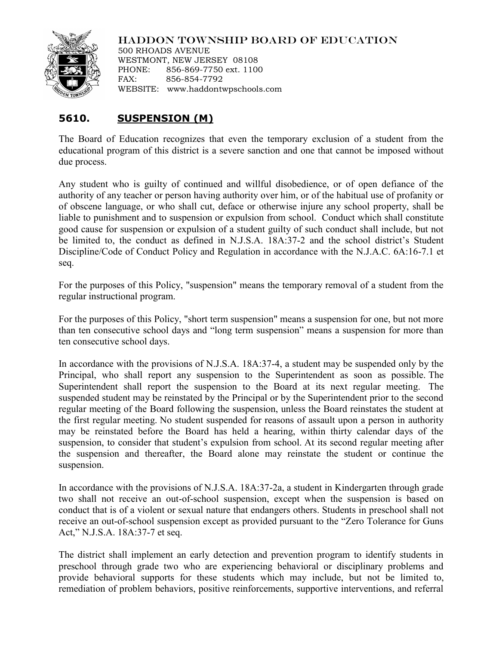

## HADDON TOWNSHIP BOARD OF EDUCATION

500 RHOADS AVENUE WESTMONT, NEW JERSEY 08108 PHONE: 856-869-7750 ext. 1100 FAX: 856-854-7792 WEBSITE: www.haddontwpschools.com

## 5610. **5610. SUSPENSION (M)**

The Board of Education recognizes that even the temporary exclusion of a student from the educational program of this district is a severe sanction and one that cannot be imposed without due process.

Any student who is guilty of continued and willful disobedience, or of open defiance of the authority of any teacher or person having authority over him, or of the habitual use of profanity or of obscene language, or who shall cut, deface or otherwise injure any school property, shall be liable to punishment and to suspension or expulsion from school. Conduct which shall constitute good cause for suspension or expulsion of a student guilty of such conduct shall include, but not be limited to, the conduct as defined in N.J.S.A. 18A:37-2 and the school district's Student Discipline/Code of Conduct Policy and Regulation in accordance with the N.J.A.C. 6A:16-7.1 et seq.

For the purposes of this Policy, "suspension" means the temporary removal of a student from the regular instructional program.

For the purposes of this Policy, "short term suspension" means a suspension for one, but not more than ten consecutive school days and "long term suspension" means a suspension for more than ten consecutive school days.

In accordance with the provisions of N.J.S.A. 18A:37-4, a student may be suspended only by the Principal, who shall report any suspension to the Superintendent as soon as possible. The Superintendent shall report the suspension to the Board at its next regular meeting. The suspended student may be reinstated by the Principal or by the Superintendent prior to the second regular meeting of the Board following the suspension, unless the Board reinstates the student at the first regular meeting. No student suspended for reasons of assault upon a person in authority may be reinstated before the Board has held a hearing, within thirty calendar days of the suspension, to consider that student's expulsion from school. At its second regular meeting after the suspension and thereafter, the Board alone may reinstate the student or continue the suspension.

In accordance with the provisions of N.J.S.A. 18A:37-2a, a student in Kindergarten through grade two shall not receive an out-of-school suspension, except when the suspension is based on conduct that is of a violent or sexual nature that endangers others. Students in preschool shall not receive an out-of-school suspension except as provided pursuant to the "Zero Tolerance for Guns Act," N.J.S.A. 18A:37-7 et seq.

The district shall implement an early detection and prevention program to identify students in preschool through grade two who are experiencing behavioral or disciplinary problems and provide behavioral supports for these students which may include, but not be limited to, remediation of problem behaviors, positive reinforcements, supportive interventions, and referral